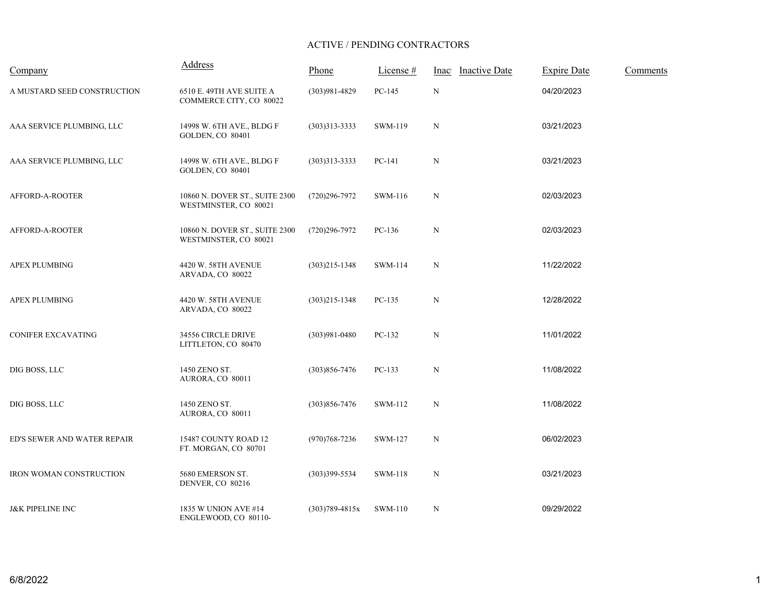## ACTIVE / PENDING CONTRACTORS

| Company                     | <b>Address</b>                                          | Phone              | License # | Inactive Date | <b>Expire Date</b> | Comments |
|-----------------------------|---------------------------------------------------------|--------------------|-----------|---------------|--------------------|----------|
| A MUSTARD SEED CONSTRUCTION | 6510 E. 49TH AVE SUITE A<br>COMMERCE CITY, CO 80022     | $(303)981 - 4829$  | PC-145    | $\mathbf N$   | 04/20/2023         |          |
| AAA SERVICE PLUMBING, LLC   | 14998 W. 6TH AVE., BLDG F<br><b>GOLDEN, CO 80401</b>    | $(303)313 - 3333$  | SWM-119   | $\mathbf N$   | 03/21/2023         |          |
| AAA SERVICE PLUMBING, LLC   | 14998 W. 6TH AVE., BLDG F<br><b>GOLDEN, CO 80401</b>    | $(303)313 - 3333$  | PC-141    | $\mathbf N$   | 03/21/2023         |          |
| AFFORD-A-ROOTER             | 10860 N. DOVER ST., SUITE 2300<br>WESTMINSTER, CO 80021 | (720)296-7972      | SWM-116   | N             | 02/03/2023         |          |
| AFFORD-A-ROOTER             | 10860 N. DOVER ST., SUITE 2300<br>WESTMINSTER, CO 80021 | $(720)296 - 7972$  | PC-136    | $\mathbf N$   | 02/03/2023         |          |
| <b>APEX PLUMBING</b>        | 4420 W. 58TH AVENUE<br>ARVADA, CO 80022                 | $(303)215 - 1348$  | SWM-114   | $\mathbf N$   | 11/22/2022         |          |
| <b>APEX PLUMBING</b>        | 4420 W. 58TH AVENUE<br>ARVADA, CO 80022                 | $(303)215 - 1348$  | $PC-135$  | $\mathbf N$   | 12/28/2022         |          |
| CONIFER EXCAVATING          | 34556 CIRCLE DRIVE<br>LITTLETON, CO 80470               | $(303)981 - 0480$  | PC-132    | $\mathbf N$   | 11/01/2022         |          |
| DIG BOSS, LLC               | 1450 ZENO ST.<br>AURORA, CO 80011                       | $(303)856 - 7476$  | $PC-133$  | $\mathbf N$   | 11/08/2022         |          |
| DIG BOSS, LLC               | 1450 ZENO ST.<br>AURORA, CO 80011                       | $(303)856 - 7476$  | SWM-112   | $\mathbf N$   | 11/08/2022         |          |
| ED'S SEWER AND WATER REPAIR | 15487 COUNTY ROAD 12<br>FT. MORGAN, CO 80701            | $(970)768 - 7236$  | SWM-127   | $\mathbf N$   | 06/02/2023         |          |
| IRON WOMAN CONSTRUCTION     | 5680 EMERSON ST.<br>DENVER, CO 80216                    | $(303)399 - 5534$  | SWM-118   | $\mathbf N$   | 03/21/2023         |          |
| <b>J&amp;K PIPELINE INC</b> | 1835 W UNION AVE #14<br>ENGLEWOOD, CO 80110-            | $(303)789 - 4815x$ | SWM-110   | N             | 09/29/2022         |          |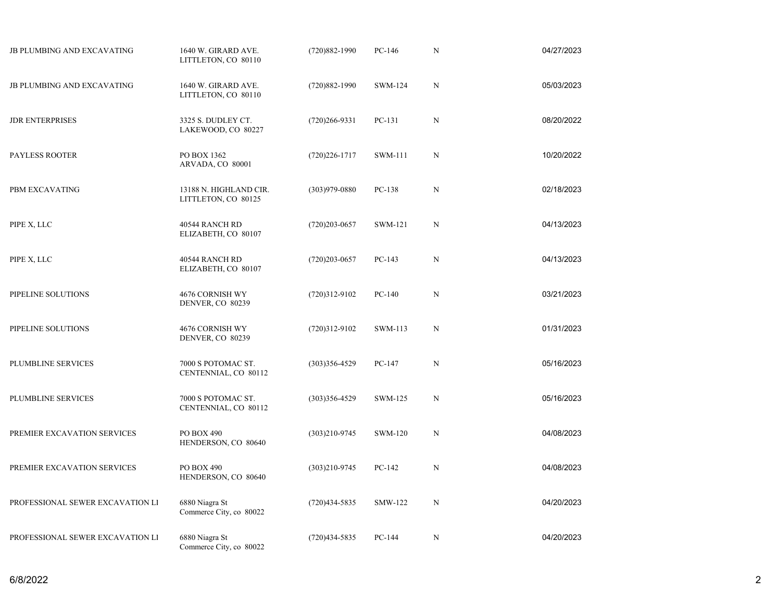| <b>JB PLUMBING AND EXCAVATING</b> | 1640 W. GIRARD AVE.<br>LITTLETON, CO 80110    | $(720)882 - 1990$ | PC-146         | ${\bf N}$   | 04/27/2023 |
|-----------------------------------|-----------------------------------------------|-------------------|----------------|-------------|------------|
| JB PLUMBING AND EXCAVATING        | 1640 W. GIRARD AVE.<br>LITTLETON, CO 80110    | $(720)882 - 1990$ | <b>SWM-124</b> | $\mathbf N$ | 05/03/2023 |
| <b>JDR ENTERPRISES</b>            | 3325 S. DUDLEY CT.<br>LAKEWOOD, CO 80227      | $(720)266 - 9331$ | PC-131         | $\mathbf N$ | 08/20/2022 |
| PAYLESS ROOTER                    | PO BOX 1362<br>ARVADA, CO 80001               | $(720)226 - 1717$ | SWM-111        | $\mathbf N$ | 10/20/2022 |
| PBM EXCAVATING                    | 13188 N. HIGHLAND CIR.<br>LITTLETON, CO 80125 | $(303)979 - 0880$ | PC-138         | $\mathbf N$ | 02/18/2023 |
| PIPE X, LLC                       | 40544 RANCH RD<br>ELIZABETH, CO 80107         | $(720)203 - 0657$ | SWM-121        | $\mathbf N$ | 04/13/2023 |
| PIPE X, LLC                       | 40544 RANCH RD<br>ELIZABETH, CO 80107         | $(720)203 - 0657$ | PC-143         | $\mathbf N$ | 04/13/2023 |
| PIPELINE SOLUTIONS                | 4676 CORNISH WY<br>DENVER, CO 80239           | $(720)312-9102$   | $PC-140$       | $\mathbf N$ | 03/21/2023 |
| PIPELINE SOLUTIONS                | 4676 CORNISH WY<br>DENVER, CO 80239           | $(720)312-9102$   | SWM-113        | $\mathbf N$ | 01/31/2023 |
| PLUMBLINE SERVICES                | 7000 S POTOMAC ST.<br>CENTENNIAL, CO 80112    | $(303)356 - 4529$ | PC-147         | N           | 05/16/2023 |
| PLUMBLINE SERVICES                | 7000 S POTOMAC ST.<br>CENTENNIAL, CO 80112    | $(303)356 - 4529$ | SWM-125        | $\mathbf N$ | 05/16/2023 |
| PREMIER EXCAVATION SERVICES       | PO BOX 490<br>HENDERSON, CO 80640             | $(303)210 - 9745$ | SWM-120        | $\mathbf N$ | 04/08/2023 |
| PREMIER EXCAVATION SERVICES       | PO BOX 490<br>HENDERSON, CO 80640             | $(303)210 - 9745$ | PC-142         | $\mathbf N$ | 04/08/2023 |
| PROFESSIONAL SEWER EXCAVATION LI  | 6880 Niagra St<br>Commerce City, co 80022     | $(720)434 - 5835$ | SMW-122        | $\mathbf N$ | 04/20/2023 |
| PROFESSIONAL SEWER EXCAVATION LI  | 6880 Niagra St<br>Commerce City, co 80022     | $(720)434 - 5835$ | PC-144         | ${\bf N}$   | 04/20/2023 |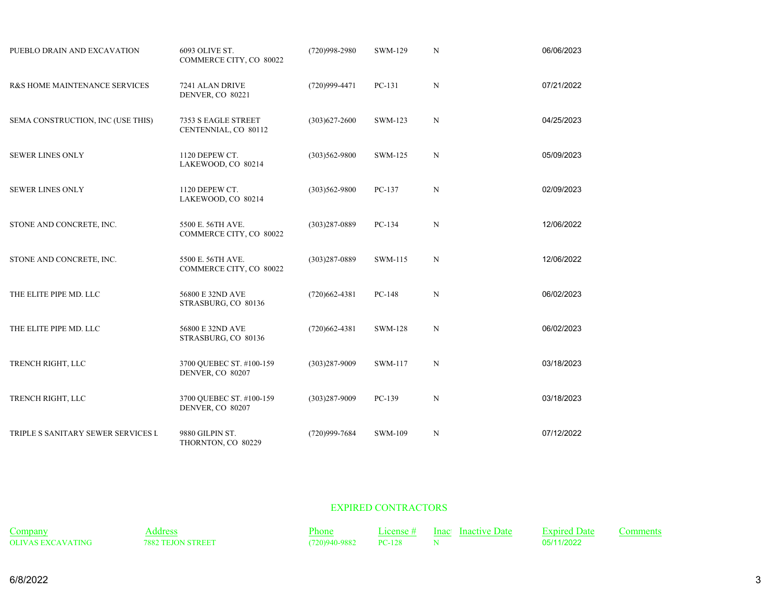| PUEBLO DRAIN AND EXCAVATION        | 6093 OLIVE ST.<br>COMMERCE CITY, CO 80022    | (720)998-2980     | SWM-129        | ${\bf N}$   | 06/06/2023 |
|------------------------------------|----------------------------------------------|-------------------|----------------|-------------|------------|
| R&S HOME MAINTENANCE SERVICES      | 7241 ALAN DRIVE<br>DENVER, CO 80221          | (720)999-4471     | $PC-131$       | $\mathbf N$ | 07/21/2022 |
| SEMA CONSTRUCTION, INC (USE THIS)  | 7353 S EAGLE STREET<br>CENTENNIAL, CO 80112  | $(303)627 - 2600$ | SWM-123        | $\mathbf N$ | 04/25/2023 |
| <b>SEWER LINES ONLY</b>            | 1120 DEPEW CT.<br>LAKEWOOD, CO 80214         | $(303)562 - 9800$ | SWM-125        | $\mathbf N$ | 05/09/2023 |
| <b>SEWER LINES ONLY</b>            | 1120 DEPEW CT.<br>LAKEWOOD, CO 80214         | $(303)562 - 9800$ | PC-137         | $\mathbf N$ | 02/09/2023 |
| STONE AND CONCRETE, INC.           | 5500 E. 56TH AVE.<br>COMMERCE CITY, CO 80022 | $(303)287 - 0889$ | PC-134         | ${\bf N}$   | 12/06/2022 |
| STONE AND CONCRETE, INC.           | 5500 E. 56TH AVE.<br>COMMERCE CITY, CO 80022 | $(303)287 - 0889$ | SWM-115        | $\mathbf N$ | 12/06/2022 |
| THE ELITE PIPE MD. LLC             | 56800 E 32ND AVE<br>STRASBURG, CO 80136      | $(720)662 - 4381$ | PC-148         | ${\bf N}$   | 06/02/2023 |
| THE ELITE PIPE MD. LLC             | 56800 E 32ND AVE<br>STRASBURG, CO 80136      | $(720)662 - 4381$ | <b>SWM-128</b> | $\mathbf N$ | 06/02/2023 |
| TRENCH RIGHT, LLC                  | 3700 QUEBEC ST. #100-159<br>DENVER, CO 80207 | $(303)287 - 9009$ | SWM-117        | N           | 03/18/2023 |
| TRENCH RIGHT, LLC                  | 3700 QUEBEC ST. #100-159<br>DENVER, CO 80207 | $(303)287-9009$   | PC-139         | $\mathbf N$ | 03/18/2023 |
| TRIPLE S SANITARY SEWER SERVICES L | 9880 GILPIN ST.<br>THORNTON, CO 80229        | (720)999-7684     | <b>SWM-109</b> | $\mathbf N$ | 07/12/2022 |

## EXPIRED CONTRACTORS

| <b>Company</b>           | ddress،           | 'hone         | License $#$ | Inact Inactive Date | <b>Expired Date</b> |  |
|--------------------------|-------------------|---------------|-------------|---------------------|---------------------|--|
| <b>OLIVAS EXCAVATING</b> | 7882 TEJON STREET | (720)940-9882 |             |                     | 05/11/2022          |  |